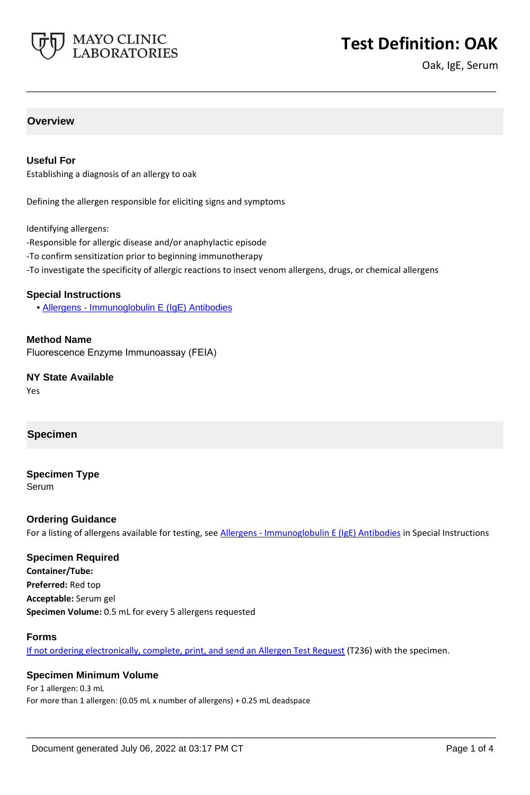

# **Test Definition: OAK**

Oak, IgE, Serum

## **Overview**

#### **Useful For**

Establishing a diagnosis of an allergy to oak

Defining the allergen responsible for eliciting signs and symptoms

Identifying allergens:

- -Responsible for allergic disease and/or anaphylactic episode
- -To confirm sensitization prior to beginning immunotherapy
- -To investigate the specificity of allergic reactions to insect venom allergens, drugs, or chemical allergens

**\_\_\_\_\_\_\_\_\_\_\_\_\_\_\_\_\_\_\_\_\_\_\_\_\_\_\_\_\_\_\_\_\_\_\_\_\_\_\_\_\_\_\_\_\_\_\_\_\_\_\_**

#### **Special Instructions**

• [Allergens - Immunoglobulin E \(IgE\) Antibodies](https://www.mayocliniclabs.com/it-mmfiles/Allergens-IgE_Antibodies.pdf)

**Method Name** Fluorescence Enzyme Immunoassay (FEIA)

**NY State Available** Yes

#### **Specimen**

# **Specimen Type**

Serum

#### **Ordering Guidance**

For a listing of allergens available for testing, see [Allergens - Immunoglobulin E \(IgE\) Antibodies](https://www.mayocliniclabs.com/it-mmfiles/Allergens-IgE_Antibodies.pdf) in Special Instructions

# **Specimen Required**

**Container/Tube: Preferred:** Red top **Acceptable:** Serum gel **Specimen Volume:** 0.5 mL for every 5 allergens requested

#### **Forms**

If not ordering electronically, complete, print, and send an [Allergen Test Request](https://www.mayocliniclabs.com/it-mmfiles/allergen-test-request-form.pdf) (T236) with the specimen.

**\_\_\_\_\_\_\_\_\_\_\_\_\_\_\_\_\_\_\_\_\_\_\_\_\_\_\_\_\_\_\_\_\_\_\_\_\_\_\_\_\_\_\_\_\_\_\_\_\_\_\_**

#### **Specimen Minimum Volume**

For 1 allergen: 0.3 mL For more than 1 allergen: (0.05 mL x number of allergens) + 0.25 mL deadspace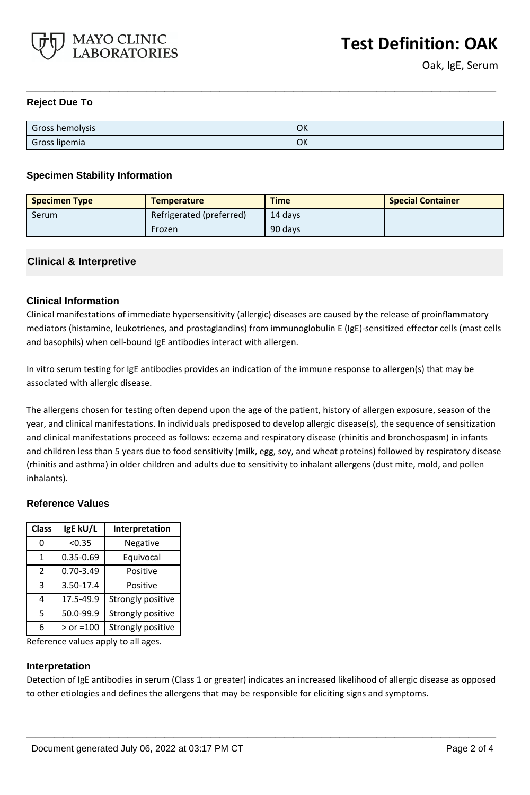

## **Reject Due To**

| Gross hemolysis | OK |
|-----------------|----|
| Gross lipemia   | OK |

**\_\_\_\_\_\_\_\_\_\_\_\_\_\_\_\_\_\_\_\_\_\_\_\_\_\_\_\_\_\_\_\_\_\_\_\_\_\_\_\_\_\_\_\_\_\_\_\_\_\_\_**

#### **Specimen Stability Information**

| <b>Specimen Type</b> | <b>Temperature</b>       | <b>Time</b> | <b>Special Container</b> |
|----------------------|--------------------------|-------------|--------------------------|
| Serum                | Refrigerated (preferred) | 14 davs     |                          |
|                      | Frozen                   | 90 days     |                          |

## **Clinical & Interpretive**

## **Clinical Information**

Clinical manifestations of immediate hypersensitivity (allergic) diseases are caused by the release of proinflammatory mediators (histamine, leukotrienes, and prostaglandins) from immunoglobulin E (IgE)-sensitized effector cells (mast cells and basophils) when cell-bound IgE antibodies interact with allergen.

In vitro serum testing for IgE antibodies provides an indication of the immune response to allergen(s) that may be associated with allergic disease.

The allergens chosen for testing often depend upon the age of the patient, history of allergen exposure, season of the year, and clinical manifestations. In individuals predisposed to develop allergic disease(s), the sequence of sensitization and clinical manifestations proceed as follows: eczema and respiratory disease (rhinitis and bronchospasm) in infants and children less than 5 years due to food sensitivity (milk, egg, soy, and wheat proteins) followed by respiratory disease (rhinitis and asthma) in older children and adults due to sensitivity to inhalant allergens (dust mite, mold, and pollen inhalants).

#### **Reference Values**

| <b>Class</b>  | IgE kU/L      | Interpretation    |
|---------------|---------------|-------------------|
| 0             | < 0.35        | Negative          |
| 1             | 0.35-0.69     | Equivocal         |
| $\mathcal{P}$ | $0.70 - 3.49$ | Positive          |
| 3             | 3.50-17.4     | Positive          |
| 4             | 17.5-49.9     | Strongly positive |
| 5             | 50.0-99.9     | Strongly positive |
| 6             | $>$ or =100   | Strongly positive |

Reference values apply to all ages.

#### **Interpretation**

Detection of IgE antibodies in serum (Class 1 or greater) indicates an increased likelihood of allergic disease as opposed to other etiologies and defines the allergens that may be responsible for eliciting signs and symptoms.

**\_\_\_\_\_\_\_\_\_\_\_\_\_\_\_\_\_\_\_\_\_\_\_\_\_\_\_\_\_\_\_\_\_\_\_\_\_\_\_\_\_\_\_\_\_\_\_\_\_\_\_**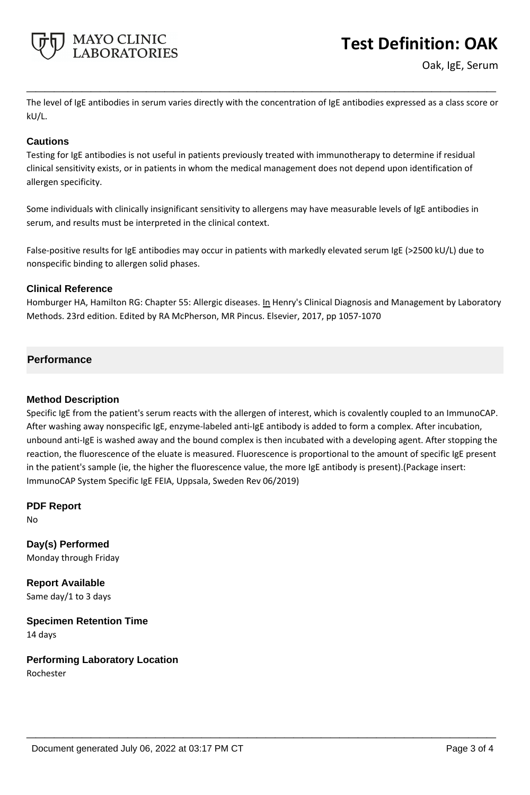

# **Test Definition: OAK**

Oak, IgE, Serum

The level of IgE antibodies in serum varies directly with the concentration of IgE antibodies expressed as a class score or kU/L.

**\_\_\_\_\_\_\_\_\_\_\_\_\_\_\_\_\_\_\_\_\_\_\_\_\_\_\_\_\_\_\_\_\_\_\_\_\_\_\_\_\_\_\_\_\_\_\_\_\_\_\_**

## **Cautions**

Testing for IgE antibodies is not useful in patients previously treated with immunotherapy to determine if residual clinical sensitivity exists, or in patients in whom the medical management does not depend upon identification of allergen specificity.

Some individuals with clinically insignificant sensitivity to allergens may have measurable levels of IgE antibodies in serum, and results must be interpreted in the clinical context.

False-positive results for IgE antibodies may occur in patients with markedly elevated serum IgE (>2500 kU/L) due to nonspecific binding to allergen solid phases.

## **Clinical Reference**

Homburger HA, Hamilton RG: Chapter 55: Allergic diseases. In Henry's Clinical Diagnosis and Management by Laboratory Methods. 23rd edition. Edited by RA McPherson, MR Pincus. Elsevier, 2017, pp 1057-1070

## **Performance**

### **Method Description**

Specific IgE from the patient's serum reacts with the allergen of interest, which is covalently coupled to an ImmunoCAP. After washing away nonspecific IgE, enzyme-labeled anti-IgE antibody is added to form a complex. After incubation, unbound anti-IgE is washed away and the bound complex is then incubated with a developing agent. After stopping the reaction, the fluorescence of the eluate is measured. Fluorescence is proportional to the amount of specific IgE present in the patient's sample (ie, the higher the fluorescence value, the more IgE antibody is present).(Package insert: ImmunoCAP System Specific IgE FEIA, Uppsala, Sweden Rev 06/2019)

**\_\_\_\_\_\_\_\_\_\_\_\_\_\_\_\_\_\_\_\_\_\_\_\_\_\_\_\_\_\_\_\_\_\_\_\_\_\_\_\_\_\_\_\_\_\_\_\_\_\_\_**

**PDF Report** No

**Day(s) Performed** Monday through Friday

**Report Available** Same day/1 to 3 days

**Specimen Retention Time** 14 days

**Performing Laboratory Location** Rochester